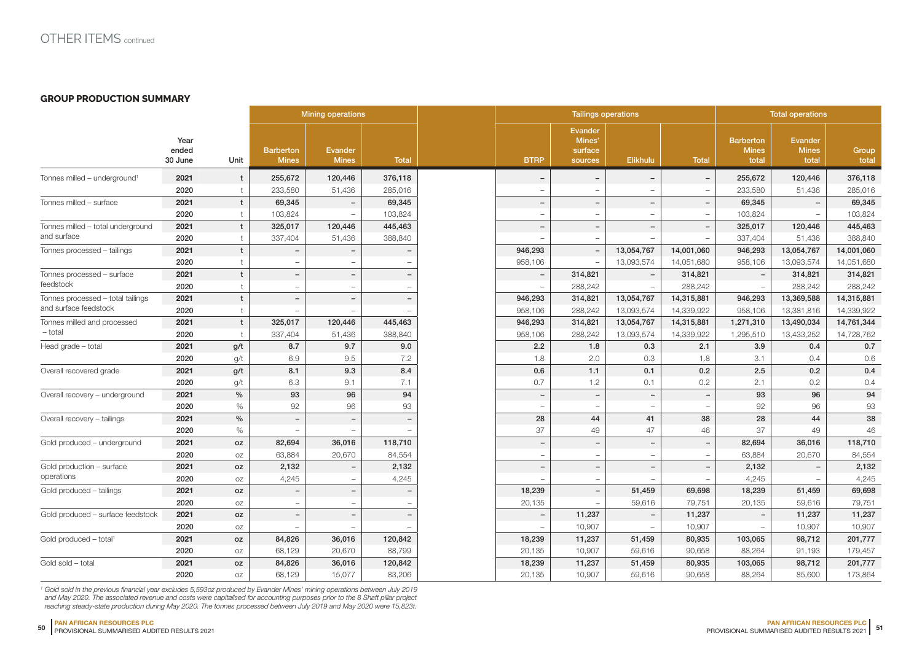## **GROUP PRODUCTION SUMMARY**

|                                                            |                          |                      | <b>Mining operations</b>         |                                |                          | <b>Tailings operations</b> |                                                |                          |                          | <b>Total operations</b>                   |                                         |                |  |
|------------------------------------------------------------|--------------------------|----------------------|----------------------------------|--------------------------------|--------------------------|----------------------------|------------------------------------------------|--------------------------|--------------------------|-------------------------------------------|-----------------------------------------|----------------|--|
|                                                            | Year<br>ended<br>30 June | Unit                 | <b>Barberton</b><br><b>Mines</b> | <b>Evander</b><br><b>Mines</b> | <b>Total</b>             | <b>BTRP</b>                | <b>Evander</b><br>Mines'<br>surface<br>sources | Elikhulu                 | <b>Total</b>             | <b>Barberton</b><br><b>Mines</b><br>total | <b>Evander</b><br><b>Mines</b><br>total | Group<br>total |  |
| Tonnes milled - underground <sup>1</sup>                   | 2021                     | t                    | 255,672                          | 120,446                        | 376,118                  |                            | $\overline{\phantom{0}}$                       | $\overline{\phantom{a}}$ | $\overline{\phantom{m}}$ | 255,672                                   | 120,446                                 | 376,118        |  |
|                                                            | 2020                     |                      | 233,580                          | 51,436                         | 285,016                  |                            |                                                |                          |                          | 233,580                                   | 51,436                                  | 285,016        |  |
| Tonnes milled - surface                                    | 2021                     | t                    | 69,345                           | $\overline{\phantom{0}}$       | 69,345                   |                            | $\overline{\phantom{0}}$                       | $\overline{\phantom{0}}$ |                          | 69,345                                    |                                         | 69,345         |  |
|                                                            | 2020                     |                      | 103,824                          |                                | 103,824                  | $\overline{\phantom{a}}$   | $\overline{\phantom{a}}$                       | $\overline{\phantom{a}}$ | $\equiv$                 | 103,824                                   |                                         | 103,824        |  |
| Tonnes milled - total underground                          | 2021                     | t                    | 325,017                          | 120,446                        | 445,463                  | $\qquad \qquad -$          | $\overline{\phantom{a}}$                       | $\overline{\phantom{a}}$ | $\overline{\phantom{m}}$ | 325,017                                   | 120,446                                 | 445,463        |  |
| and surface                                                | 2020                     |                      | 337,404                          | 51,436                         | 388,840                  |                            |                                                |                          |                          | 337,404                                   | 51,436                                  | 388,840        |  |
| Tonnes processed - tailings                                | 2021                     | $\mathbf t$          | $\overline{\phantom{a}}$         | $\overline{\phantom{0}}$       |                          | 946,293                    | $\overline{a}$                                 | 13,054,767               | 14,001,060               | 946,293                                   | 13,054,767                              | 14,001,060     |  |
|                                                            | 2020                     |                      |                                  |                                |                          | 958,106                    |                                                | 13,093,574               | 14,051,680               | 958,106                                   | 13,093,574                              | 14,051,680     |  |
| Tonnes processed - surface<br>feedstock                    | 2021                     | t                    | $\overline{\phantom{0}}$         | $\overline{\phantom{0}}$       | $\overline{\phantom{0}}$ | $\overline{\phantom{a}}$   | 314,821                                        | $\overline{\phantom{a}}$ | 314,821                  | $\overline{\phantom{a}}$                  | 314,821                                 | 314,821        |  |
|                                                            | 2020                     |                      | $\overline{\phantom{0}}$         | $\overline{\phantom{a}}$       | -                        | $\overline{\phantom{a}}$   | 288,242                                        | $\overline{\phantom{a}}$ | 288,242                  | $\overline{\phantom{a}}$                  | 288,242                                 | 288,242        |  |
| Tonnes processed - total tailings<br>and surface feedstock | 2021                     | $\mathbf{t}$         | $\qquad \qquad -$                | $\overline{\phantom{a}}$       | $\qquad \qquad -$        | 946,293                    | 314,821                                        | 13,054,767               | 14,315,881               | 946,293                                   | 13,369,588                              | 14,315,881     |  |
|                                                            | 2020                     |                      |                                  | $\overline{\phantom{0}}$       |                          | 958,106                    | 288,242                                        | 13,093,574               | 14,339,922               | 958,106                                   | 13,381,816                              | 14,339,922     |  |
| Tonnes milled and processed<br>$-$ total                   | 2021                     | $\ddot{\phantom{1}}$ | 325,017                          | 120,446                        | 445,463                  | 946,293                    | 314,821                                        | 13,054,767               | 14,315,881               | 1,271,310                                 | 13,490,034                              | 14,761,344     |  |
|                                                            | 2020                     |                      | 337,404                          | 51,436                         | 388,840                  | 958,106                    | 288,242                                        | 13,093,574               | 14,339,922               | 1,295,510                                 | 13,433,252                              | 14,728,762     |  |
| Head grade - total                                         | 2021                     | g/t                  | 8.7                              | 9.7                            | 9.0                      | 2.2                        | 1.8                                            | 0.3                      | 2.1                      | 3.9                                       | 0.4                                     | 0.7            |  |
|                                                            | 2020                     | g/t                  | 6.9                              | 9.5                            | 7.2                      | 1.8                        | 2.0                                            | 0.3                      | 1.8                      | 3.1                                       | 0.4                                     | 0.6            |  |
| Overall recovered grade                                    | 2021                     | g/t                  | 8.1                              | 9.3                            | 8.4                      | 0.6                        | $1.1$                                          | 0.1                      | 0.2                      | 2.5                                       | 0.2                                     | 0.4            |  |
|                                                            | 2020                     | g/t                  | 6.3                              | 9.1                            | 7.1                      | 0.7                        | 1.2                                            | 0.1                      | 0.2                      | 2.1                                       | 0.2                                     | 0.4            |  |
| Overall recovery - underground                             | 2021                     | $\frac{0}{0}$        | 93                               | 96                             | 94                       | $\overline{\phantom{a}}$   | $\overline{\phantom{a}}$                       | $\overline{\phantom{a}}$ | $\overline{\phantom{a}}$ | 93                                        | 96                                      | 94             |  |
|                                                            | 2020                     | $\%$                 | 92                               | 96                             | 93                       | <b>1</b>                   | $\overline{\phantom{a}}$                       | $\equiv$                 | $\equiv$                 | 92                                        | 96                                      | 93             |  |
| Overall recovery - tailings                                | 2021                     | $\%$                 | $\overline{\phantom{a}}$         | $\overline{\phantom{a}}$       | $\qquad \qquad -$        | 28                         | 44                                             | 41                       | 38                       | 28                                        | 44                                      | 38             |  |
|                                                            | 2020                     | $\%$                 |                                  |                                |                          | 37                         | 49                                             | 47                       | 46                       | 37                                        | 49                                      | 46             |  |
| Gold produced - underground                                | 2021                     | oz                   | 82,694                           | 36,016                         | 118,710                  | $\overline{\phantom{m}}$   | $\overline{\phantom{0}}$                       | $\overline{\phantom{a}}$ |                          | 82,694                                    | 36,016                                  | 118,710        |  |
|                                                            | 2020                     | OZ                   | 63,884                           | 20,670                         | 84,554                   |                            |                                                |                          |                          | 63,884                                    | 20,670                                  | 84,554         |  |
| Gold production - surface<br>operations                    | 2021                     | oz                   | 2,132                            | $\overline{\phantom{0}}$       | 2,132                    |                            | $\overline{\phantom{a}}$                       | $\overline{a}$           |                          | 2,132                                     |                                         | 2,132          |  |
|                                                            | 2020                     | OZ                   | 4,245                            | $\overline{\phantom{0}}$       | 4,245                    |                            |                                                |                          | $\overline{\phantom{a}}$ | 4,245                                     |                                         | 4,245          |  |
| Gold produced - tailings                                   | 2021                     | oz                   |                                  | $\qquad \qquad -$              |                          | 18,239                     | $\overline{\phantom{a}}$                       | 51,459                   | 69,698                   | 18,239                                    | 51,459                                  | 69,698         |  |
|                                                            | 2020                     | OZ                   |                                  |                                |                          | 20,135                     |                                                | 59,616                   | 79,751                   | 20,135                                    | 59,616                                  | 79,751         |  |
| Gold produced - surface feedstock                          | 2021                     | oz                   | $\overline{\phantom{a}}$         | $\qquad \qquad -$              | -                        | $\overline{\phantom{0}}$   | 11,237                                         | $\overline{\phantom{a}}$ | 11,237                   | $\overline{a}$                            | 11,237                                  | 11,237         |  |
|                                                            | 2020                     | OZ                   |                                  |                                |                          |                            | 10,907                                         | ÷                        | 10,907                   | $\sim$                                    | 10,907                                  | 10,907         |  |
| Gold produced - total <sup>1</sup>                         | 2021                     | oz                   | 84,826                           | 36,016                         | 120,842                  | 18,239                     | 11,237                                         | 51,459                   | 80,935                   | 103,065                                   | 98,712                                  | 201,777        |  |
|                                                            | 2020                     | OZ                   | 68,129                           | 20,670                         | 88,799                   | 20,135                     | 10,907                                         | 59,616                   | 90,658                   | 88,264                                    | 91,193                                  | 179,457        |  |
| Gold sold - total                                          | 2021                     | oz                   | 84,826                           | 36,016                         | 120,842                  | 18,239                     | 11,237                                         | 51,459                   | 80,935                   | 103,065                                   | 98,712                                  | 201,777        |  |
|                                                            | 2020                     | OZ                   | 68,129                           | 15,077                         | 83,206                   | 20,135                     | 10,907                                         | 59,616                   | 90,658                   | 88,264                                    | 85,600                                  | 173,864        |  |

*1 Gold sold in the previous financial year excludes 5,593oz produced by Evander Mines' mining operations between July 2019*  and May 2020. The associated revenue and costs were capitalised for accounting purposes prior to the 8 Shaft pillar project<br>reaching steady-state production during May 2020. The tonnes processed between July 2019 and May 2